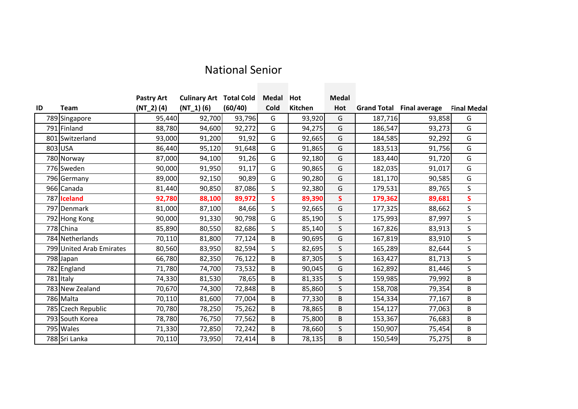## National Senior

|    |                          | <b>Pastry Art</b> | <b>Culinary Art Total Cold</b> |         | <b>Medal</b> | Hot     | <b>Medal</b> |         |                                  |                    |
|----|--------------------------|-------------------|--------------------------------|---------|--------------|---------|--------------|---------|----------------------------------|--------------------|
| ID | <b>Team</b>              | $(NT_2) (4)$      | $(NT_1)(6)$                    | (60/40) | Cold         | Kitchen | Hot          |         | <b>Grand Total Final average</b> | <b>Final Medal</b> |
|    | 789 Singapore            | 95,440            | 92,700                         | 93,796  | G            | 93,920  | G            | 187,716 | 93,858                           | G                  |
|    | 791 Finland              | 88,780            | 94,600                         | 92,272  | G            | 94,275  | G            | 186,547 | 93,273                           | G                  |
|    | 801 Switzerland          | 93,000            | 91,200                         | 91,92   | G            | 92,665  | G            | 184,585 | 92,292                           | G                  |
|    | 803 USA                  | 86,440            | 95,120                         | 91,648  | G            | 91,865  | G            | 183,513 | 91,756                           | G                  |
|    | 780 Norway               | 87,000            | 94,100                         | 91,26   | G            | 92,180  | G            | 183,440 | 91,720                           | G                  |
|    | 776 Sweden               | 90,000            | 91,950                         | 91,17   | G            | 90,865  | G            | 182,035 | 91,017                           | G                  |
|    | 796 Germany              | 89,000            | 92,150                         | 90,89   | G            | 90,280  | G            | 181,170 | 90,585                           | G                  |
|    | 966 Canada               | 81,440            | 90,850                         | 87,086  | S            | 92,380  | G            | 179,531 | 89,765                           | S                  |
|    | 787 Iceland              | 92,780            | 88,100                         | 89,972  | S            | 89,390  | $\mathsf{s}$ | 179,362 | 89,681                           | S.                 |
|    | 797 Denmark              | 81,000            | 87,100                         | 84,66   | S            | 92,665  | G            | 177,325 | 88,662                           | S                  |
|    | 792 Hong Kong            | 90,000            | 91,330                         | 90,798  | G            | 85,190  | $\sf S$      | 175,993 | 87,997                           | S                  |
|    | 778 China                | 85,890            | 80,550                         | 82,686  | S            | 85,140  | $\sf S$      | 167,826 | 83,913                           | S                  |
|    | 784 Netherlands          | 70,110            | 81,800                         | 77,124  | B            | 90,695  | G            | 167,819 | 83,910                           | S.                 |
|    | 799 United Arab Emirates | 80,560            | 83,950                         | 82,594  | S            | 82,695  | $\sf S$      | 165,289 | 82,644                           | S                  |
|    | 798 Japan                | 66,780            | 82,350                         | 76,122  | B            | 87,305  | $\sf S$      | 163,427 | 81,713                           | S                  |
|    | 782 England              | 71,780            | 74,700                         | 73,532  | B            | 90,045  | G            | 162,892 | 81,446                           | S                  |
|    | 781 Italy                | 74,330            | 81,530                         | 78,65   | B            | 81,335  | $\sf S$      | 159,985 | 79,992                           | B                  |
|    | 783 New Zealand          | 70,670            | 74,300                         | 72,848  | B            | 85,860  | $\sf S$      | 158,708 | 79,354                           | B                  |
|    | 786 Malta                | 70,110            | 81,600                         | 77,004  | B            | 77,330  | B            | 154,334 | 77,167                           | B                  |
|    | 785 Czech Republic       | 70,780            | 78,250                         | 75,262  | B            | 78,865  | B            | 154,127 | 77,063                           | B                  |
|    | 793 South Korea          | 78,780            | 76,750                         | 77,562  | B            | 75,800  | B            | 153,367 | 76,683                           | B                  |
|    | 795 Wales                | 71,330            | 72,850                         | 72,242  | B            | 78,660  | S            | 150,907 | 75,454                           | B                  |
|    | 788 Sri Lanka            | 70,110            | 73,950                         | 72,414  | B            | 78,135  | B            | 150,549 | 75,275                           | B                  |